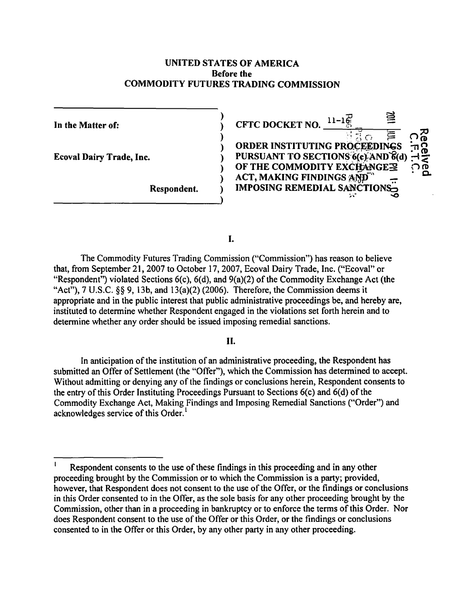### UNITED STATES OF AMERICA Before the COMMODITY FUTURES TRADING COMMISSION

)

) )

In the Matter of:

Ecoval Dairy Trade, Inc.

Respondent.



I.

The Commodity Futures Trading Commission ("Commission") has reason to believe that, from September 21, 2007 to October 17, 2007, Ecoval Dairy Trade, Inc. ("Ecoval" or "Respondent") violated Sections  $6(c)$ ,  $6(d)$ , and  $9(a)(2)$  of the Commodity Exchange Act (the "Act"), 7 U.S.C. §§ 9, 13b, and  $13(a)(2)$  (2006). Therefore, the Commission deems it appropriate and in the public interest that public administrative proceedings be, and hereby are, instituted to determine whether Respondent engaged in the violations set forth herein and to determine whether any order should be issued imposing remedial sanctions.

#### II.

In anticipation of the institution of an administrative proceeding, the Respondent has submitted an Offer of Settlement (the "Offer"), which the Commission has determined to accept. Without admitting or denying any of the findings or conclusions herein, Respondent consents to the entry of this Order Instituting Proceedings Pursuant to Sections  $6(c)$  and  $6(d)$  of the Commodity Exchange Act, Making Findings and Imposing Remedial Sanctions ("Order") and acknowledges service of this Order.<sup>1</sup>

Respondent consents to the use of these findings in this proceeding and in any other proceeding brought by the Commission or to which the Commission is a party; provided, however, that Respondent does not consent to the use of the Offer, or the findings or conclusions in this Order consented to in the Offer, as the sole basis for any other proceeding brought by the Commission, other than in a proceeding in bankruptcy or to enforce the terms of this Order. Nor does Respondent consent to the use of the Offer or this Order, or the findings or conclusions consented to in the Offer or this Order, by any other party in any other proceeding.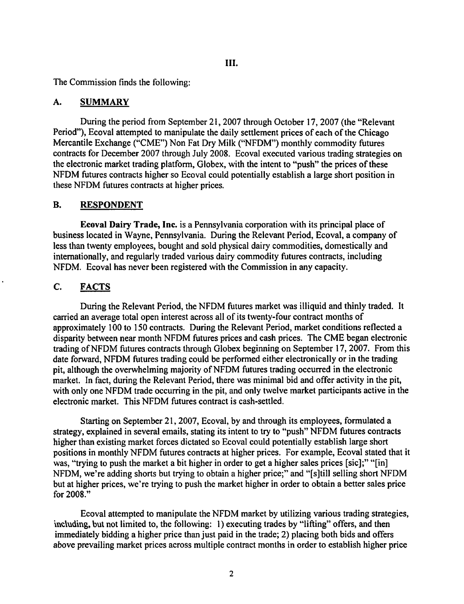## III.

The Commission finds the following:

## A. SUMMARY

During the period from September 21, 2007 through October 17, 2007 (the "Relevant" Period"). Ecoval attempted to manipulate the daily settlement prices of each of the Chicago Mercantile Exchange ("CME") Non Fat Dry Milk ("NFDM") monthly commodity futures contracts for December 2007 through July 2008. Ecoval executed various trading strategies on the electronic market trading platform, Globex, with the intent to "push" the prices of these NFDM futures contracts higher so Ecoval could potentially establish a large short position in these NFDM futures contracts at higher prices.

## B. RESPONDENT

Ecoval Dairy Trade, Inc. is a Pennsylvania corporation with its principal place of business located in Wayne, Pennsylvania. During the Relevant Period, Ecoval, a company of less than twenty employees, bought and sold physical dairy commodities, domestically and internationally, and regularly traded various dairy commodity futures contracts, including NFDM. Ecoval has never been registered with the Commission in any capacity.

# C. FACTS

During the Relevant Period, the NFDM futures market was illiquid and thinly traded. It carried an average total open interest across all of its twenty-four contract months of approximately 100 to 150 contracts. During the Relevant Period, market conditions reflected a disparity between near month NFDM futures prices and cash prices. The CME began electronic trading of NFDM futures contracts through Globex beginning on September 17, 2007. From this date forward, NFDM futures trading could be performed either electronically or in the trading pit, although the overwhelming majority of NFDM futures trading occurred in the electronic market. In fact, during the Relevant Period, there was minimal bid and offer activity in the pit, with only one NFDM trade occurring in the pit, and only twelve market participants active in the electronic market. This NFDM futures contract is cash-settled.

Starting on September 21,2007, Ecoval, by and through its employees, formulated a strategy, explained in several emails, stating its intent to try to "push" NFDM futures contracts higher than existing market forces dictated so Ecoval could potentially establish large short positions in monthly NFDM futures contracts at higher prices. For example, Ecoval stated that it was, "trying to push the market a bit higher in order to get a higher sales prices [sic];" "[in] NFDM, we're adding shorts but trying to obtain a higher price;" and "[s]till selling short NFDM but at higher prices, we're trying to push the market higher in order to obtain a better sales price for 2008."

Ecoval attempted to manipulate the NFDM market by utilizing various trading strategies, including, but not limited to, the following: I) executing trades by "lifting" offers, and then immediately bidding a higher price than just paid in the trade; 2) placing both bids and offers above prevailing market prices across multiple contract months in order to establish higher price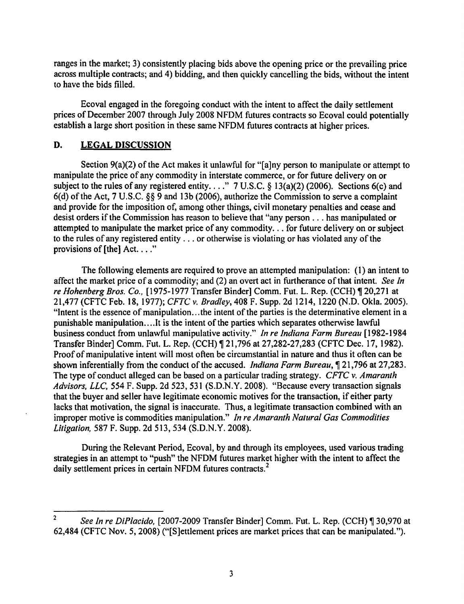ranges in the market; 3) consistently placing bids above the opening price or the prevailing price across multiple contracts; and 4) bidding, and then quickly cancelling the bids, without the intent to have the bids filled.

Ecoval engaged in the foregoing conduct with the intent to affect the daily settlement prices of December 2007 through July 2008 NFDM futures contracts so Ecoval could potentially establish a large short position in these same NFDM futures contracts at higher prices.

## D. LEGAL DISCUSSION

Section  $9(a)(2)$  of the Act makes it unlawful for "[a]ny person to manipulate or attempt to manipulate the price of any commodity in interstate commerce, or for future delivery on or subject to the rules of any registered entity...." 7 U.S.C.  $\S$  13(a)(2) (2006). Sections 6(c) and  $6(d)$  of the Act, 7 U.S.C. §§ 9 and 13b (2006), authorize the Commission to serve a complaint and provide for the imposition of, among other things, civil monetary penalties and cease and desist orders if the Commission has reason to believe that "any person . . . has manipulated or attempted to manipulate the market price of any commodity... for future delivery on or subject to the rules of any registered entity  $\ldots$  or otherwise is violating or has violated any of the provisions of [the] Act. ..."

The following elements are required to prove an attempted manipulation: (I) an intent to affect the market price of a commodity; and (2) an overt act in furtherance of that intent. *See In re Hohenberg Bros. Co.,* [1975-1977 Transfer Binder] Comm. Fut. L. Rep. (CCH) [20,271 at 21,477 (CFTC Feb. 18, 1977); *CFTC v. Bradley,* 408 F. Supp. 2d 1214, 1220 (N.D. Okla. 2005). "Intent is the essence of manipulation...the intent of the parties is the determinative element in a punishable manipulation....It is the intent of the parties which separates otherwise lawful business conduct from unlawful manipulative activity." *In re Indiana Farm Bureau [1982-1984* Transfer Binder] Comm. Fut. L. Rep. (CCH) 21,796 at 27,282-27,283 (CFTC Dec. 17, 1982). Proof of manipulative intent will most often be circumstantial in nature and thus it often can be shown inferentially from the conduct of the accused. *Indiana Farm Bureau*, 1 21,796 at 27,283. The type of conduct alleged can be based on a particular trading strategy. *CFTC* v. *Amaranth Advisors, LLC,* 554 F. Supp. 2d 523,531 (S.D.N.Y. 2008). "Because every transaction signals that the buyer and seller have legitimate economic motives for the transaction, if either party lacks that motivation, the signal is inaccurate. Thus, a legitimate transaction combined with an improper motive is commodities manipulation." *In re Amaranth Natural Gas Commodities Litigation,* 587 F. Supp. 2d 513, 534 (S.D.N.Y. 2008).

During the Relevant Period, Ecoval, by and through its employees, used various trading strategies in an attempt to "push" the NFDM futures market higher with the intent to affect the daily settlement prices in certain NFDM futures contracts.<sup>2</sup>

<sup>2</sup> *See In re DiPlacido,* [2007-2009 Transfer Binder] Comm. Fut. L. Rep. (CCH) 30,970 at 62,484 (CFTC Nov. 5,2008) ("[S]ettlement prices are market prices that can be manipulated.").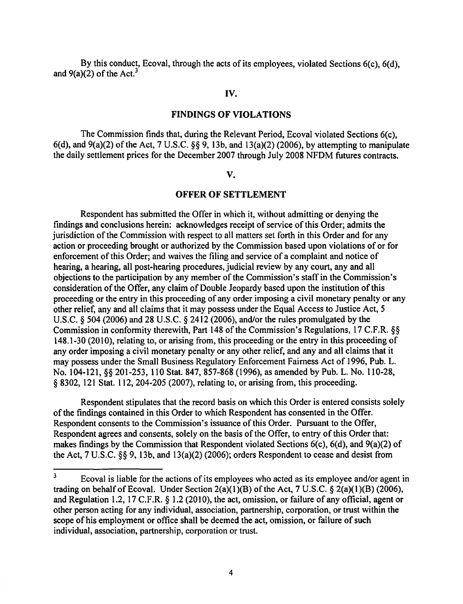By this conduct, Ecoval, through the acts of its employees, violated Sections  $6(c)$ ,  $6(d)$ , and  $9(a)(2)$  of the Act.<sup>3</sup>

#### IV.

## FINDINGS OF VIOLATIONS

The Commission finds that, during the Relevant Period, Ecoval violated Sections 6(c), 6(d), and  $9(a)(2)$  of the Act, 7 U.S.C. §§ 9, 13b, and 13(a)(2) (2006), by attempting to manipulate the daily settlement prices for the December 2007 through July 2008 NFDM futures contracts.

#### V.

#### OFFER OF SETTLEMENT

Respondent has submitted the Offer in which it, without admitting or denying the findings and conclusions herein: acknowledges receipt of service of this Order; admits the jurisdiction of the Commission with respect to all matters set forth in this Order and for any action or proceeding brought or authorized by the Commission based upon violations of or for enforcement of this Order; and waives the filing and service of a complaint and notice of hearing, a hearing, all post-hearing procedures, judicial review by any court, any and all objections to the participation by any member of the Commission's staff in the Commission's consideration of the Offer, any claim of Double Jeopardy based upon the institution of this proceeding or the entry in this proceeding of any order imposing a civil monetary penalty or any other relief, any and all claims that it may possess under the Equal Access to Justice Act, 5 U.S.C.  $\S$  504 (2006) and 28 U.S.C.  $\S$  2412 (2006), and/or the rules promulgated by the Commission in conformity therewith, Part 148 of the Commission's Regulations, 17 C.F.R. §§ 148.1-30 (2010), relating to, or arising from, this proceeding or the entry in this proceeding of any order imposing a civil monetary penalty or any other relief, and any and all claims that it may possess under the Small Business Regulatory Enforcement Fairness Act of 1996, Pub. L. No. 104-121, §§ 201-253, 110 Stat. 847, 857-868 (1996), as amended by Pub. L. No. 110-28, § 8302, 121 Stat. 112,204-205 (2007), relating to, or arising from, this proceeding.

Respondent stipulates that the record basis on which this Order is entered consists solely ofthe findings contained in this Order to which Respondent has consented in the Offer. Respondent consents to the Commission's issuance of this Order. Pursuant to the Offer, Respondent agrees and consents, solely on the basis of the Offer, to entry of this Order that: makes findings by the Commission that Respondent violated Sections 6(c), 6(d), and 9(a)(2) of the Act, 7 U.S.C. §§ 9, 13b, and 13(a)(2) (2006); orders Respondent to cease and desist from

<sup>3</sup> Ecoval is liable for the actions of its employees who acted as its employee and/or agent in trading on behalf of Ecoval. Under Section  $2(a)(1)(B)$  of the Act, 7 U.S.C. §  $2(a)(1)(B)$  (2006), and Regulation 1.2, 17 C.F.R. § 1.2 (2010), the act, omission, or failure of any official, agent or other person acting for any individual, association, partnership, corporation, or trust within the scope of his employment or office shall be deemed the act, omission, or failure of such individual, association, partnership, corporation or trust.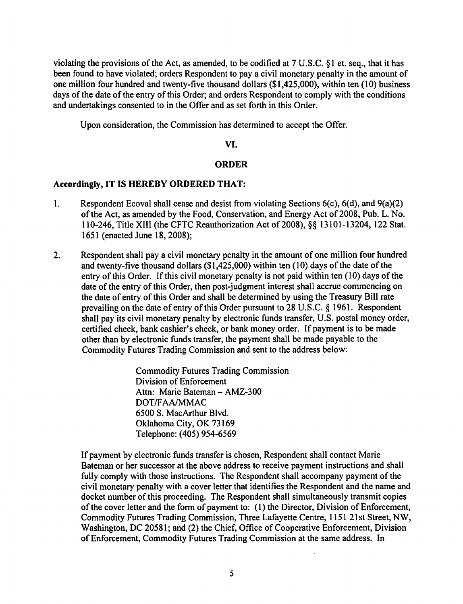violating the provisions of the Act, as amended, to be codified at  $7 \text{ U.S.C. }$  §1 et. seq., that it has been found to have violated; orders Respondent to pay a civil monetary penalty in the amount of one million four hundred and twenty-five thousand dollars (\$1,425,000), within ten (10) business days of the date of the entry of this Order; and orders Respondent to comply with the conditions and undertakings consented to in the Offer and as set forth in this Order.

Upon consideration, the Commission has determined to accept the Offer.

#### VI.

#### ORDER

#### Accordingly, IT IS HEREBY ORDERED THAT:

- 1. Respondent Ecoval shall cease and desist from violating Sections  $6(c)$ ,  $6(d)$ , and  $9(a)(2)$ of the Act, as amended by the Food, Conservation, and Energy Act of 2008, Pub. L. No. 110-246, Title XIII (the CFTC Reauthorization Act of 2008), §§ 13101-13204, 122 Stat. 1651 (enacted June 18, 2008);
- 2. Respondent shall pay a civil monetary penalty in the amount of one million four hundred and twenty-five thousand dollars  $(\$1,425,000)$  within ten (10) days of the date of the entry of this Order. If this civil monetary penalty is not paid within ten  $(10)$  days of the date of the entry of this Order, then post-judgment interest shall accrue commencing on the date of entry of this Order and shall be determined by using the Treasury Bill rate prevailing on the date of entry of this Order pursuant to  $28$  U.S.C. § 1961. Respondent shall pay its civil monetary penalty by electronic funds transfer, U.S. postal money order, certified check, bank cashier's check, or bank money order. If payment is to be made other than by electronic funds transfer, the payment shall be made payable to the Commodity Futures Trading Commission and sent to the address below:

Commodity Futures Trading Commission Division of Enforcement Attn: Marie Bateman - AMZ-300 DOT/FAA/MMAC 6500 S. MacArthur Blvd. Oklahoma City, OK 73169 Telephone: (405) 954-6569

If payment by electronic funds transfer is chosen, Respondent shall contact Marie Bateman or her successor at the above address to receive payment instructions and shall fully comply with those instructions. The Respondent shall accompany payment of the civil monetary penalty with a cover letter that identifies the Respondent and the name and docket number of this proceeding. The Respondent shall simultaneously transmit copies of the cover letter and the form of payment to: (1) the Director, Division of Enforcement, Commodity Futures Trading Commission, Three Lafayette Centre, 1151 21st Street, NW, Washington, DC 20581; and (2) the Chief, Office of Cooperative Enforcement, Division ofEnforcement, Commodity Futures Trading Commission at the same address. In